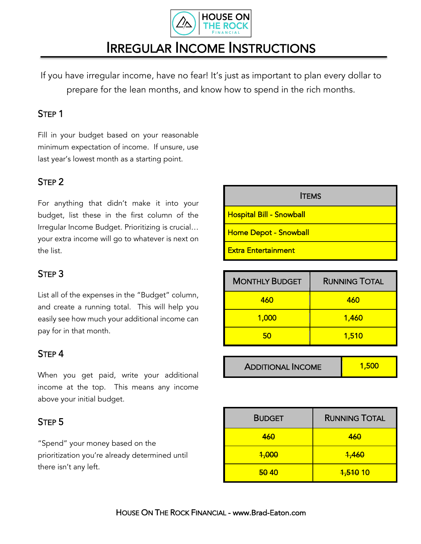

## IRREGULAR INCOME INSTRUCTIONS

If you have irregular income, have no fear! It's just as important to plan every dollar to prepare for the lean months, and know how to spend in the rich months.

## STEP 1

Fill in your budget based on your reasonable minimum expectation of income. If unsure, use last year's lowest month as a starting point.

### STEP 2

For anything that didn't make it into your budget, list these in the first column of the Irregular Income Budget. Prioritizing is crucial… your extra income will go to whatever is next on the list.

#### STEP 3

List all of the expenses in the "Budget" column, and create a running total. This will help you easily see how much your additional income can pay for in that month.

#### STEP 4

When you get paid, write your additional income at the top. This means any income above your initial budget.

## STEP 5

"Spend" your money based on the prioritization you're already determined until there isn't any left.

| <b>ITEMS</b>                     |
|----------------------------------|
| <u> Hospital Bill - Snowball</u> |
| <u> Home Depot - Snowball</u>    |
| Extra Entertainment              |

| <b>MONTHLY BUDGET</b> | <b>RUNNING TOTAL</b> |  |  |
|-----------------------|----------------------|--|--|
| 460                   | 460                  |  |  |
| 1,000                 | 1,460                |  |  |
| 50                    | 1,510                |  |  |

| <b>ADDITIONAL INCOME</b> | 1,500 |
|--------------------------|-------|
|--------------------------|-------|

| <b>BUDGET</b> | <b>RUNNING TOTAL</b> |  |
|---------------|----------------------|--|
| 460           | 460                  |  |
| 1,000         | 1,460                |  |
| 5040          | <del>1,510</del> 10  |  |